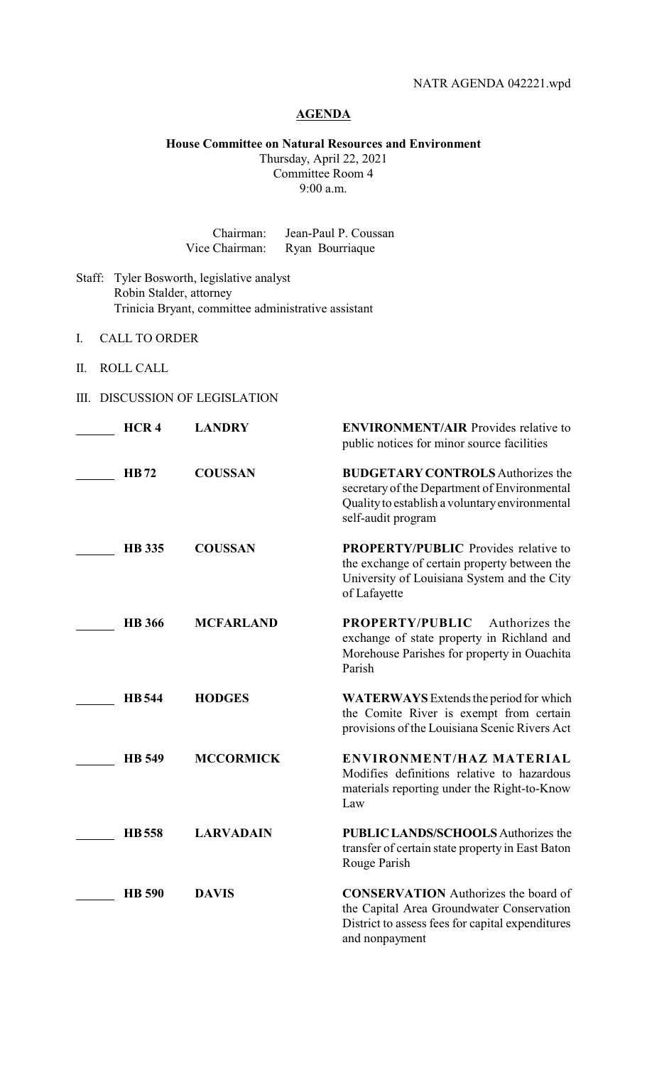# **AGENDA**

# **House Committee on Natural Resources and Environment**

Thursday, April 22, 2021 Committee Room 4 9:00 a.m.

| Chairman:      | Jean-Paul P. Coussan |
|----------------|----------------------|
| Vice Chairman: | Ryan Bourriaque      |

- Staff: Tyler Bosworth, legislative analyst Robin Stalder, attorney Trinicia Bryant, committee administrative assistant
- I. CALL TO ORDER
- II. ROLL CALL
- III. DISCUSSION OF LEGISLATION

| HCR <sub>4</sub> | <b>LANDRY</b>    | <b>ENVIRONMENT/AIR Provides relative to</b><br>public notices for minor source facilities                                                                        |
|------------------|------------------|------------------------------------------------------------------------------------------------------------------------------------------------------------------|
| <b>HB72</b>      | <b>COUSSAN</b>   | <b>BUDGETARY CONTROLS Authorizes the</b><br>secretary of the Department of Environmental<br>Quality to establish a voluntary environmental<br>self-audit program |
| <b>HB</b> 335    | <b>COUSSAN</b>   | PROPERTY/PUBLIC Provides relative to<br>the exchange of certain property between the<br>University of Louisiana System and the City<br>of Lafayette              |
| <b>HB</b> 366    | <b>MCFARLAND</b> | Authorizes the<br>PROPERTY/PUBLIC<br>exchange of state property in Richland and<br>Morehouse Parishes for property in Ouachita<br>Parish                         |
| <b>HB</b> 544    | <b>HODGES</b>    | <b>WATERWAYS</b> Extends the period for which<br>the Comite River is exempt from certain<br>provisions of the Louisiana Scenic Rivers Act                        |
| <b>HB</b> 549    | <b>MCCORMICK</b> | ENVIRONMENT/HAZ MATERIAL<br>Modifies definitions relative to hazardous<br>materials reporting under the Right-to-Know<br>Law                                     |
| <b>HB</b> 558    | <b>LARVADAIN</b> | <b>PUBLIC LANDS/SCHOOLS Authorizes the</b><br>transfer of certain state property in East Baton<br>Rouge Parish                                                   |
| <b>HB</b> 590    | <b>DAVIS</b>     | <b>CONSERVATION</b> Authorizes the board of<br>the Capital Area Groundwater Conservation<br>District to assess fees for capital expenditures<br>and nonpayment   |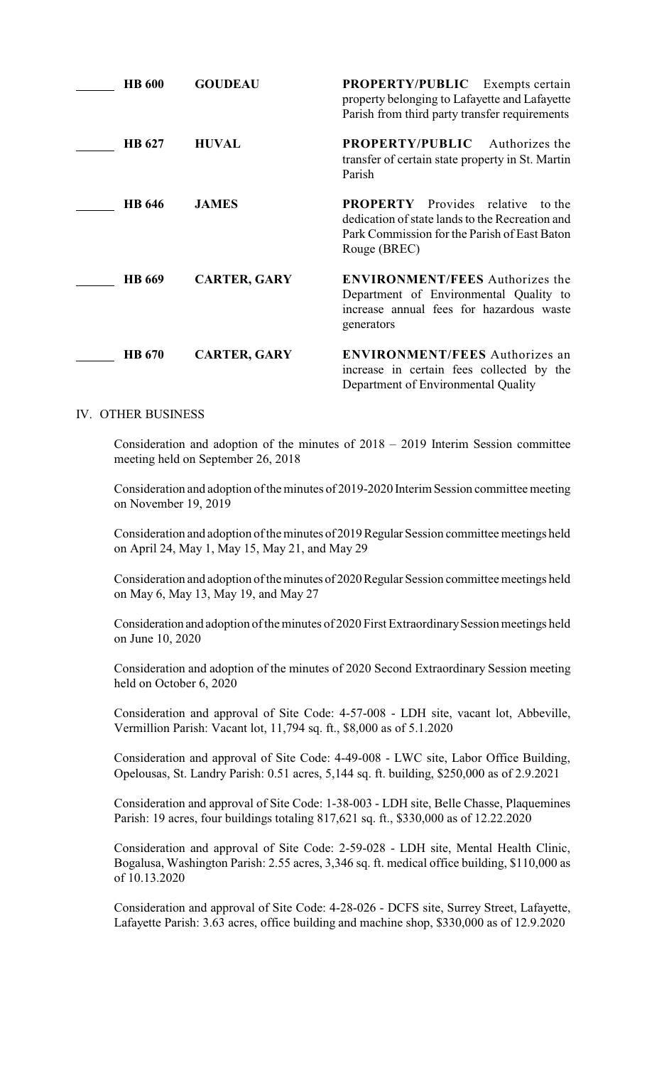| <b>HB</b> 600 | <b>GOUDEAU</b>      | <b>PROPERTY/PUBLIC</b> Exempts certain<br>property belonging to Lafayette and Lafayette<br>Parish from third party transfer requirements                       |
|---------------|---------------------|----------------------------------------------------------------------------------------------------------------------------------------------------------------|
| HB 627        | <b>HUVAL</b>        | <b>PROPERTY/PUBLIC</b><br>Authorizes the<br>transfer of certain state property in St. Martin<br>Parish                                                         |
| <b>HB</b> 646 | <b>JAMES</b>        | <b>PROPERTY</b> Provides relative<br>to the<br>dedication of state lands to the Recreation and<br>Park Commission for the Parish of East Baton<br>Rouge (BREC) |
| <b>HB</b> 669 | <b>CARTER, GARY</b> | <b>ENVIRONMENT/FEES</b> Authorizes the<br>Department of Environmental Quality to<br>increase annual fees for hazardous waste<br>generators                     |
| <b>HB</b> 670 | <b>CARTER, GARY</b> | <b>ENVIRONMENT/FEES</b> Authorizes an<br>increase in certain fees collected by the<br>Department of Environmental Quality                                      |

# IV. OTHER BUSINESS

Consideration and adoption of the minutes of 2018 – 2019 Interim Session committee meeting held on September 26, 2018

Consideration and adoption of the minutes of 2019-2020 Interim Session committee meeting on November 19, 2019

Consideration and adoption of the minutes of 2019Regular Session committee meetings held on April 24, May 1, May 15, May 21, and May 29

Consideration and adoption of the minutes of 2020 Regular Session committee meetings held on May 6, May 13, May 19, and May 27

Consideration and adoption of the minutes of 2020 First Extraordinary Session meetings held on June 10, 2020

Consideration and adoption of the minutes of 2020 Second Extraordinary Session meeting held on October 6, 2020

Consideration and approval of Site Code: 4-57-008 - LDH site, vacant lot, Abbeville, Vermillion Parish: Vacant lot, 11,794 sq. ft., \$8,000 as of 5.1.2020

Consideration and approval of Site Code: 4-49-008 - LWC site, Labor Office Building, Opelousas, St. Landry Parish: 0.51 acres, 5,144 sq. ft. building, \$250,000 as of 2.9.2021

Consideration and approval of Site Code: 1-38-003 - LDH site, Belle Chasse, Plaquemines Parish: 19 acres, four buildings totaling 817,621 sq. ft., \$330,000 as of 12.22.2020

Consideration and approval of Site Code: 2-59-028 - LDH site, Mental Health Clinic, Bogalusa, Washington Parish: 2.55 acres, 3,346 sq. ft. medical office building, \$110,000 as of 10.13.2020

Consideration and approval of Site Code: 4-28-026 - DCFS site, Surrey Street, Lafayette, Lafayette Parish: 3.63 acres, office building and machine shop, \$330,000 as of 12.9.2020